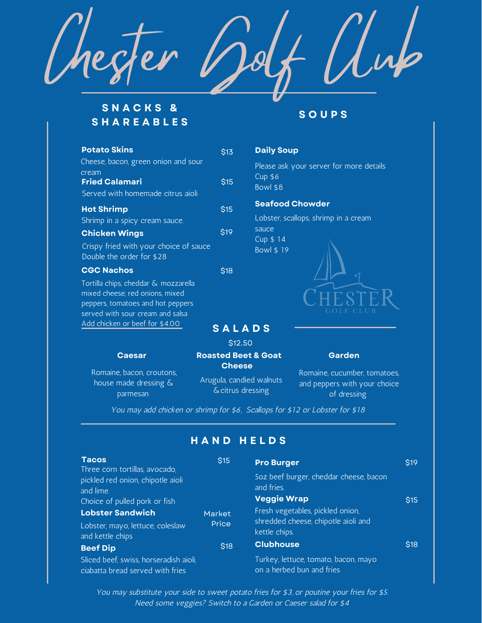

## **S N A C K S & S H A R E A B L E S**

| <b>Potato Skins</b>                                                                                                                              | \$13                  |
|--------------------------------------------------------------------------------------------------------------------------------------------------|-----------------------|
| Cheese, bacon, green onion and sour                                                                                                              |                       |
| cream                                                                                                                                            |                       |
| <b>Fried Calamari</b>                                                                                                                            | <b>S<sub>15</sub></b> |
| Served with homemade citrus aioli                                                                                                                |                       |
| <b>Hot Shrimp</b>                                                                                                                                | \$15                  |
| Shrimp in a spicy cream sauce.                                                                                                                   |                       |
| <b>Chicken Wings</b>                                                                                                                             | <b>S19</b>            |
| Crispy fried with your choice of sauce<br>Double the order for \$28                                                                              |                       |
| <b>CGC Nachos</b>                                                                                                                                | <b>S18</b>            |
| Tortilla chips, cheddar & mozzarella<br>mixed cheese, red onions, mixed<br>peppers, tomatoes and hot peppers<br>served with sour cream and salsa |                       |

Add chicken or beef for \$4.00

parmesan

## **S O U P S**

# **Daily Soup**

Please ask your server for more details Cup \$6 Bowl \$8

### **Seafood Chowder**

Lobster, scallops, shrimp in a cream sauce Cup \$ 14 Bowl \$ 19



#### **Caesar Roasted Beet & Goat Cheese** Romaine, bacon, croutons, house made dressing & Arugula, candied walnuts &citrus dressing \$12.50

**Garden**

Romaine, cucumber, tomatoes, and peppers with your choice of dressing

You may add chicken or shrimp for \$6, Scallops for \$12 or Lobster for \$18

**S A L A D S**

## **H A N D H E L D S**

| <b>Tacos</b>                                                                                                      | \$15   | <b>Pro Burger</b>                                                          | \$19 |
|-------------------------------------------------------------------------------------------------------------------|--------|----------------------------------------------------------------------------|------|
| Three corn tortillas, avocado,<br>pickled red onion, chipotle aioli<br>and lime.<br>Choice of pulled pork or fish |        | 5oz beef burger, cheddar cheese, bacon<br>and fries.<br><b>Veggie Wrap</b> | \$15 |
| <b>Lobster Sandwich</b>                                                                                           | Market | Fresh vegetables, pickled onion,                                           |      |
| Lobster, mayo, lettuce, coleslaw<br>and kettle chips                                                              | Price  | shredded cheese, chipotle aioli and<br>kettle chips.                       |      |
| <b>Beef Dip</b>                                                                                                   | \$18   | <b>Clubhouse</b>                                                           | \$18 |
| Sliced beef, swiss, horseradish aioli,<br>ciabatta bread served with fries                                        |        | Turkey, lettuce, tomato, bacon, mayo<br>on a herbed bun and fries          |      |

You may substitute your side to sweet potato fries for \$3, or poutine your fries for \$5. Need some veggies? Switch to a Garden or Caeser salad for \$4